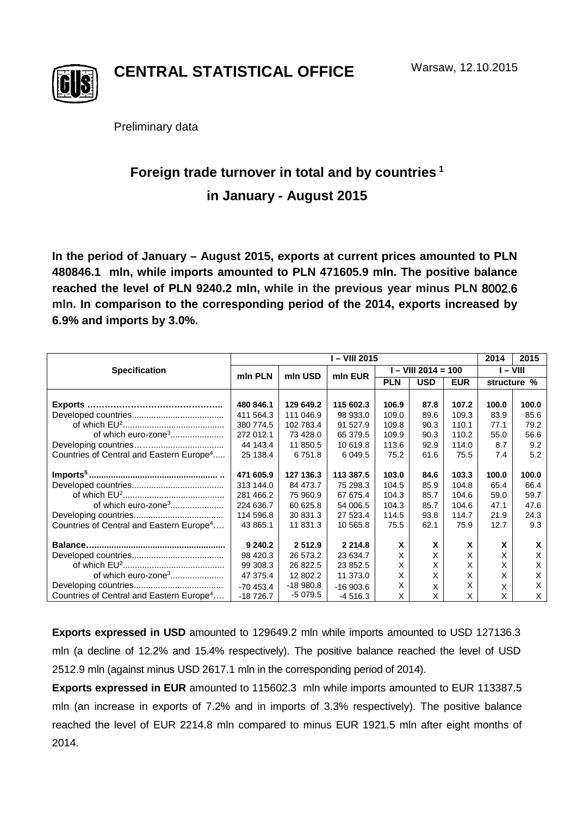

**CENTRAL STATISTICAL OFFICE**

Preliminary data

## **Foreign trade turnover in total and by countries <sup>1</sup> in January - August 2015**

**In the period of January – August 2015, exports at current prices amounted to PLN 480846.1 mln, while imports amounted to PLN 471605.9 mln. The positive balance reached the level of PLN 9240.2 mln, while in the previous year minus PLN** 8002.6 **mln. In comparison to the corresponding period of the 2014, exports increased by 6.9% and imports by 3.0%.**

|                                                      | I – VIII 2015 |            |            |                       |            |            | 2014     | 2015        |
|------------------------------------------------------|---------------|------------|------------|-----------------------|------------|------------|----------|-------------|
| <b>Specification</b>                                 | min PLN       | mln USD    | min EUR    | $I - VIII 2014 = 100$ |            |            | I – VIII |             |
|                                                      |               |            |            | <b>PLN</b>            | <b>USD</b> | <b>EUR</b> |          | structure % |
|                                                      |               |            |            |                       |            |            |          |             |
|                                                      | 480 846.1     | 129 649.2  | 115 602.3  | 106.9                 | 87.8       | 107.2      | 100.0    | 100.0       |
|                                                      | 411 564.3     | 111 046.9  | 98 933.0   | 109.0                 | 89.6       | 109.3      | 83.9     | 85.6        |
|                                                      | 380 774.5     | 102 783.4  | 91 527.9   | 109.8                 | 90.3       | 110.1      | 77.1     | 79.2        |
| of which euro-zone <sup>3</sup>                      | 272 012.1     | 73 428.0   | 65 379.5   | 109.9                 | 90.3       | 110.2      | 55.0     | 56.6        |
|                                                      | 44 143.4      | 11 850.5   | 10 619.8   | 113.6                 | 92.9       | 114.0      | 8.7      | 9.2         |
| Countries of Central and Eastern Europe <sup>4</sup> | 25 138.4      | 6751.8     | 6 0 4 9.5  | 75.2                  | 61.6       | 75.5       | 7.4      | 5.2         |
|                                                      | 471 605.9     | 127 136.3  | 113 387.5  | 103.0                 | 84.6       | 103.3      | 100.0    | 100.0       |
|                                                      | 313 144.0     | 84 473.7   | 75 298.3   | 104.5                 | 85.9       | 104.8      | 65.4     | 66.4        |
|                                                      | 281 466.2     | 75 960.9   | 67 675.4   | 104.3                 | 85.7       | 104.6      | 59.0     | 59.7        |
| of which euro-zone <sup>3</sup>                      | 224 636.7     | 60 625.8   | 54 006.5   | 104.3                 | 85.7       | 104.6      | 47.1     | 47.6        |
|                                                      | 114 596.8     | 30 831.3   | 27 523.4   | 114.5                 | 93.8       | 114.7      | 21.9     | 24.3        |
| Countries of Central and Eastern Europe <sup>4</sup> | 43 865.1      | 11 831.3   | 10 565.8   | 75.5                  | 62.1       | 75.9       | 12.7     | 9.3         |
|                                                      |               |            |            |                       |            |            |          |             |
|                                                      | 9 240.2       | 2 512.9    | 2 2 1 4 .8 | X                     | X          | X          | X        | X           |
|                                                      | 98 4 20.3     | 26 573.2   | 23 634.7   | X                     | X          | X          | X        | X           |
|                                                      | 99 308.3      | 26 822.5   | 23 852.5   | X                     | Χ          | X          | х        | X           |
| of which euro-zone <sup>3</sup>                      | 47 375.4      | 12 802.2   | 11 373.0   | X                     | Х          | X          | X        | X           |
|                                                      | $-70453.4$    | $-18980.8$ | $-16903.6$ | X                     | Χ          | X          | Χ        | X           |
| Countries of Central and Eastern Europe <sup>4</sup> | $-18726.7$    | -5 079.5   | $-4516.3$  | X                     | X          | X          | X        | X           |

**Exports expressed in USD** amounted to 129649.2 mln while imports amounted to USD 127136.3 mln (a decline of 12.2% and 15.4% respectively). The positive balance reached the level of USD 2512.9 mln (against minus USD 2617.1 mln in the corresponding period of 2014).

**Exports expressed in EUR** amounted to 115602.3 mln while imports amounted to EUR 113387.5 mln (an increase in exports of 7.2% and in imports of 3.3% respectively). The positive balance reached the level of EUR 2214.8 mln compared to minus EUR 1921.5 mln after eight months of 2014.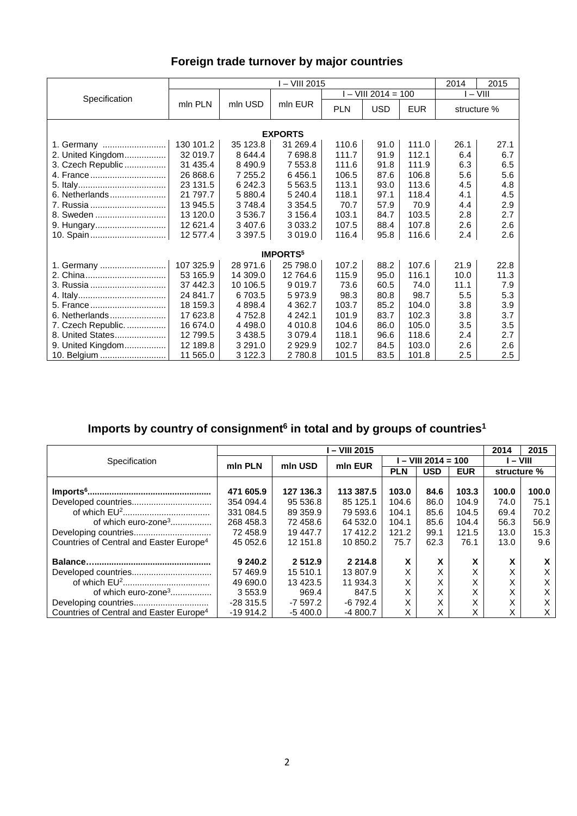## **Foreign trade turnover by major countries**

|                             | I – VIII 2015 |            |             |            |                       |            | 2014        | 2015 |  |  |
|-----------------------------|---------------|------------|-------------|------------|-----------------------|------------|-------------|------|--|--|
|                             |               |            | mln EUR     |            | $I - VIII 2014 = 100$ | $I - VIII$ |             |      |  |  |
| Specification               | mln PLN       | mln USD    |             | <b>PLN</b> | <b>USD</b>            | <b>EUR</b> | structure % |      |  |  |
| <b>EXPORTS</b>              |               |            |             |            |                       |            |             |      |  |  |
| 1. Germany                  | 130 101.2     | 35 123.8   | 31 269.4    | 110.6      | 91.0                  | 111.0      | 26.1        | 27.1 |  |  |
| 2. United Kingdom           | 32 019.7      | 8 644.4    | 7 698.8     | 111.7      | 91.9                  | 112.1      | 6.4         | 6.7  |  |  |
| 3. Czech Republic           | 31 435.4      | 8 4 9 0.9  | 7 553.8     | 111.6      | 91.8                  | 111.9      | 6.3         | 6.5  |  |  |
| 4. France                   | 26 868.6      | 7 255.2    | 6456.1      | 106.5      | 87.6                  | 106.8      | 5.6         | 5.6  |  |  |
|                             | 23 131.5      | 6 242.3    | 5 5 6 3.5   | 113.1      | 93.0                  | 113.6      | 4.5         | 4.8  |  |  |
| 6. Netherlands              | 21 797.7      | 5 880.4    | 5 240.4     | 118.1      | 97.1                  | 118.4      | 4.1         | 4.5  |  |  |
| 7. Russia                   | 13 945.5      | 3748.4     | 3 3 5 4 . 5 | 70.7       | 57.9                  | 70.9       | 4.4         | 2.9  |  |  |
| 8. Sweden                   | 13 120.0      | 3 536.7    | 3 156.4     | 103.1      | 84.7                  | 103.5      | 2.8         | 2.7  |  |  |
| 9. Hungary                  | 12 621.4      | 3 407.6    | 3 0 3 3.2   | 107.5      | 88.4                  | 107.8      | 2.6         | 2.6  |  |  |
| 10. Spain                   | 12 577.4      | 3 3 9 7 .5 | 3 0 1 9 .0  | 116.4      | 95.8                  | 116.6      | 2.4         | 2.6  |  |  |
| <b>IMPORTS</b> <sup>5</sup> |               |            |             |            |                       |            |             |      |  |  |
| 1. Germany                  | 107 325.9     | 28 971.6   | 25 798.0    | 107.2      | 88.2                  | 107.6      | 21.9        | 22.8 |  |  |
|                             | 53 165.9      | 14 309.0   | 12 764.6    | 115.9      | 95.0                  | 116.1      | 10.0        | 11.3 |  |  |
| 3. Russia                   | 37 442.3      | 10 106.5   | 9 0 1 9.7   | 73.6       | 60.5                  | 74.0       | 11.1        | 7.9  |  |  |
|                             | 24 841.7      | 6703.5     | 5973.9      | 98.3       | 80.8                  | 98.7       | 5.5         | 5.3  |  |  |
| 5. France                   | 18 159.3      | 4 8 9 8.4  | 4 3 6 2.7   | 103.7      | 85.2                  | 104.0      | 3.8         | 3.9  |  |  |
| 6. Netherlands              | 17 623.8      | 4 7 5 2.8  | 4 242.1     | 101.9      | 83.7                  | 102.3      | 3.8         | 3.7  |  |  |
| 7. Czech Republic.          | 16 674.0      | 4 4 9 8.0  | 4 0 1 0.8   | 104.6      | 86.0                  | 105.0      | 3.5         | 3.5  |  |  |
| 8. United States            | 12 799.5      | 3 4 3 8.5  | 3 0 7 9 .4  | 118.1      | 96.6                  | 118.6      | 2.4         | 2.7  |  |  |
| 9. United Kingdom           | 12 189.8      | 3 2 9 1 .0 | 2929.9      | 102.7      | 84.5                  | 103.0      | 2.6         | 2.6  |  |  |
| 10. Belgium                 | 11 565.0      | 3 1 2 2.3  | 2 780.8     | 101.5      | 83.5                  | 101.8      | 2.5         | 2.5  |  |  |

## **Imports by country of consignment6 in total and by groups of countries1**

|                                                     | - VIII 2015 |           |             |                     |            |                   |                   | 2015  |
|-----------------------------------------------------|-------------|-----------|-------------|---------------------|------------|-------------------|-------------------|-------|
| Specification                                       | min PLN     | mln USD   | min EUR     | $-$ VIII 2014 = 100 |            |                   | l – VIII          |       |
|                                                     |             |           |             | <b>PLN</b>          | <b>USD</b> | <b>EUR</b>        | structure %       |       |
|                                                     |             |           |             |                     |            |                   |                   |       |
|                                                     | 471 605.9   | 127 136.3 | 113 387.5   | 103.0               | 84.6       | 103.3             | 100.0             | 100.0 |
|                                                     | 354 094.4   | 95 536.8  | 85 125.1    | 104.6               | 86.0       | 104.9             | 74.0              | 75.1  |
|                                                     | 331 084.5   | 89 359.9  | 79 593.6    | 104.1               | 85.6       | 104.5             | 69.4              | 70.2  |
| of which euro-zone <sup>3</sup>                     | 268 458.3   | 72 458.6  | 64 532.0    | 104.1               | 85.6       | 104.4             | 56.3              | 56.9  |
|                                                     | 72 458.9    | 19 447.7  | 17412.2     | 121.2               | 99.1       | 121.5             | 13.0              | 15.3  |
| Countries of Central and Easter Europe <sup>4</sup> | 45 052.6    | 12 151.8  | 10 850.2    | 75.7                | 62.3       | 76.1              | 13.0              | 9.6   |
|                                                     | 9 240.2     | 2512.9    | 2 2 1 4 . 8 | x                   | X          | v<br>A            | x                 | x     |
|                                                     | 57 469.9    | 15 510.1  | 13 807.9    | Χ                   |            | X                 | X                 | X     |
|                                                     | 49 690.0    | 13 4 23.5 | 11 934.3    | Χ                   | х          | $\checkmark$<br>⋏ | $\checkmark$<br>∧ | Х     |
| of which euro-zone <sup>3</sup>                     | 3 5 5 3 .9  | 969.4     | 847.5       |                     | X          | v<br>$\sim$       | v<br>⋏            | X     |
|                                                     | $-28315.5$  | $-7597.2$ | $-6792.4$   | X                   | X          | X                 | X                 | X     |
| Countries of Central and Easter Europe <sup>4</sup> | $-19914.2$  | $-5400.0$ | $-4800.7$   | Χ                   | X          | v                 | X                 | X     |